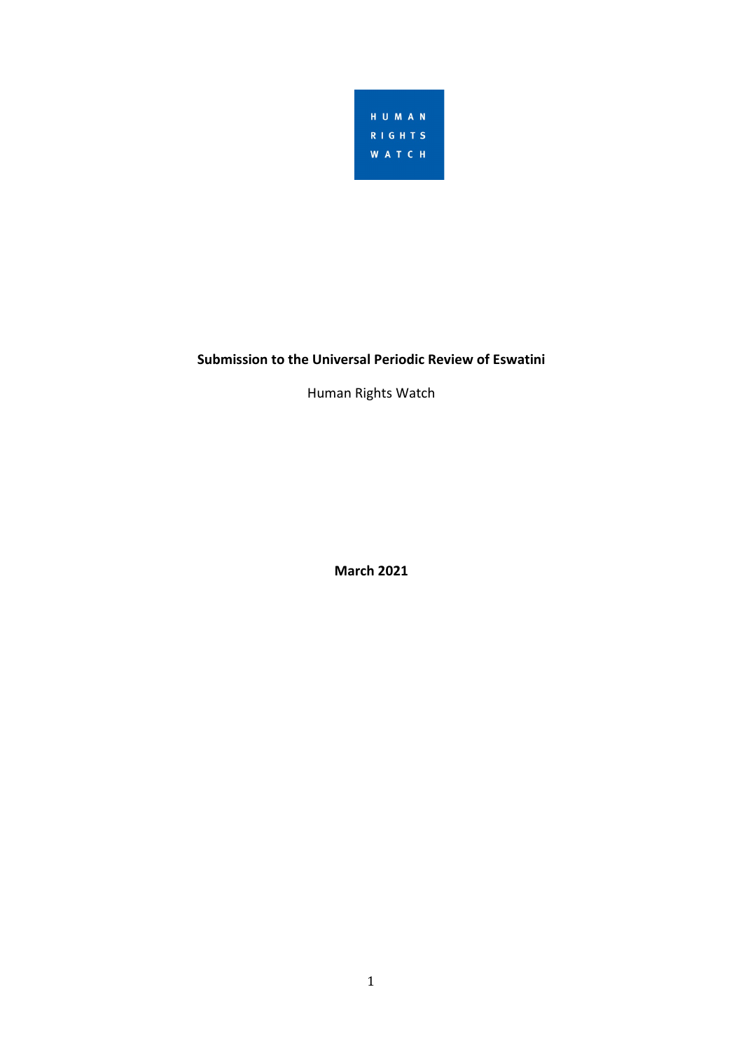

# **Submission to the Universal Periodic Review of Eswatini**

Human Rights Watch

**March 2021**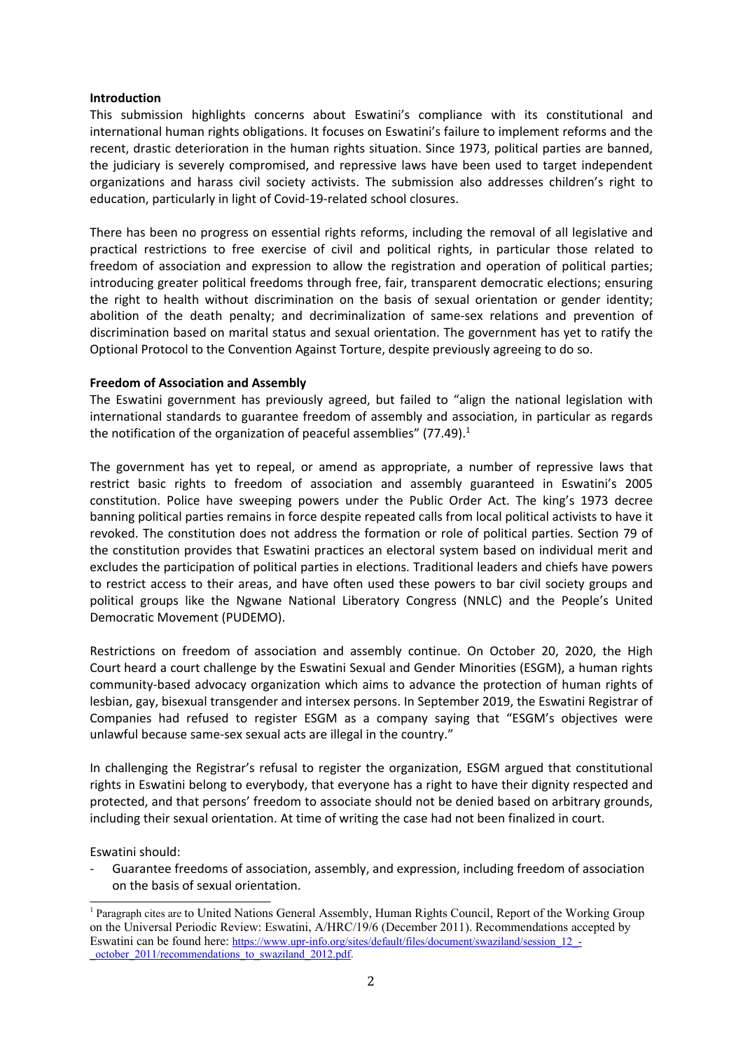### **Introduction**

This submission highlights concerns about Eswatini'<sup>s</sup> compliance with its constitutional and international human rights obligations. It focuses on Eswatini'<sup>s</sup> failure to implement reforms and the recent, drastic deterioration in the human rights situation. Since 1973, political parties are banned, the judiciary is severely compromised, and repressive laws have been used to target independent organizations and harass civil society activists. The submission also addresses children'<sup>s</sup> right to education, particularly in light of Covid-19-related school closures.

There has been no progress on essential rights reforms, including the removal of all legislative and practical restrictions to free exercise of civil and political rights, in particular those related to freedom of association and expression to allow the registration and operation of political parties; introducing greater political freedoms through free, fair, transparent democratic elections; ensuring the right to health without discrimination on the basis of sexual orientation or gender identity; abolition of the death penalty; and decriminalization of same-sex relations and prevention of discrimination based on marital status and sexual orientation. The government has yet to ratify the Optional Protocol to the Convention Against Torture, despite previously agreeing to do so.

## **Freedom of Association and Assembly**

The Eswatini government has previously agreed, but failed to "align the national legislation with international standards to guarantee freedom of assembly and association, in particular as regards the notification of the organization of peaceful assemblies" (77.49).<sup>1</sup>

The government has yet to repeal, or amend as appropriate, <sup>a</sup> number of repressive laws that restrict basic rights to freedom of association and assembly guaranteed in Eswatini'<sup>s</sup> 2005 constitution. Police have sweeping powers under the Public Order Act. The king'<sup>s</sup> 1973 decree banning political parties remains in force despite repeated calls from local political activists to have it revoked. The constitution does not address the formation or role of political parties. Section 79 of the constitution provides that Eswatini practices an electoral system based on individual merit and excludes the participation of political parties in elections. Traditional leaders and chiefs have powers to restrict access to their areas, and have often used these powers to bar civil society groups and political groups like the Ngwane National Liberatory Congress (NNLC) and the People'<sup>s</sup> United Democratic Movement (PUDEMO).

Restrictions on freedom of association and assembly continue. On October 20, 2020, the High Court heard <sup>a</sup> court challenge by the Eswatini Sexual and Gender Minorities (ESGM), <sup>a</sup> human rights community-based advocacy organization which aims to advance the protection of human rights of lesbian, gay, bisexual transgender and intersex persons. In September 2019, the Eswatini Registrar of Companies had refused to register ESGM as <sup>a</sup> company saying that "ESGM'<sup>s</sup> objectives were unlawful because same-sex sexual acts are illegal in the country."

In challenging the Registrar'<sup>s</sup> refusal to register the organization, ESGM argued that constitutional rights in Eswatini belong to everybody, that everyone has <sup>a</sup> right to have their dignity respected and protected, and that persons' freedom to associate should not be denied based on arbitrary grounds, including their sexual orientation. At time of writing the case had not been finalized in court.

Eswatini should:

- Guarantee freedoms of association, assembly, and expression, including freedom of association on the basis of sexual orientation.

<sup>1</sup> Paragraph cites are to United Nations General Assembly, Human Rights Council, Report of the Working Group on the Universal Periodic Review: Eswatini, A/HRC/19/6 (December 2011). Recommendations accepted by Eswatini can be found here: [https://www.upr-info.org/sites/default/files/document/swaziland/session\\_12\\_-](https://www.upr-info.org/sites/default/files/document/swaziland/session_12_-_october_2011/recommendations_to_swaziland_2012.pdf) \_[october\\_2011/recommendations\\_to\\_swaziland\\_2012.pdf](https://www.upr-info.org/sites/default/files/document/swaziland/session_12_-_october_2011/recommendations_to_swaziland_2012.pdf).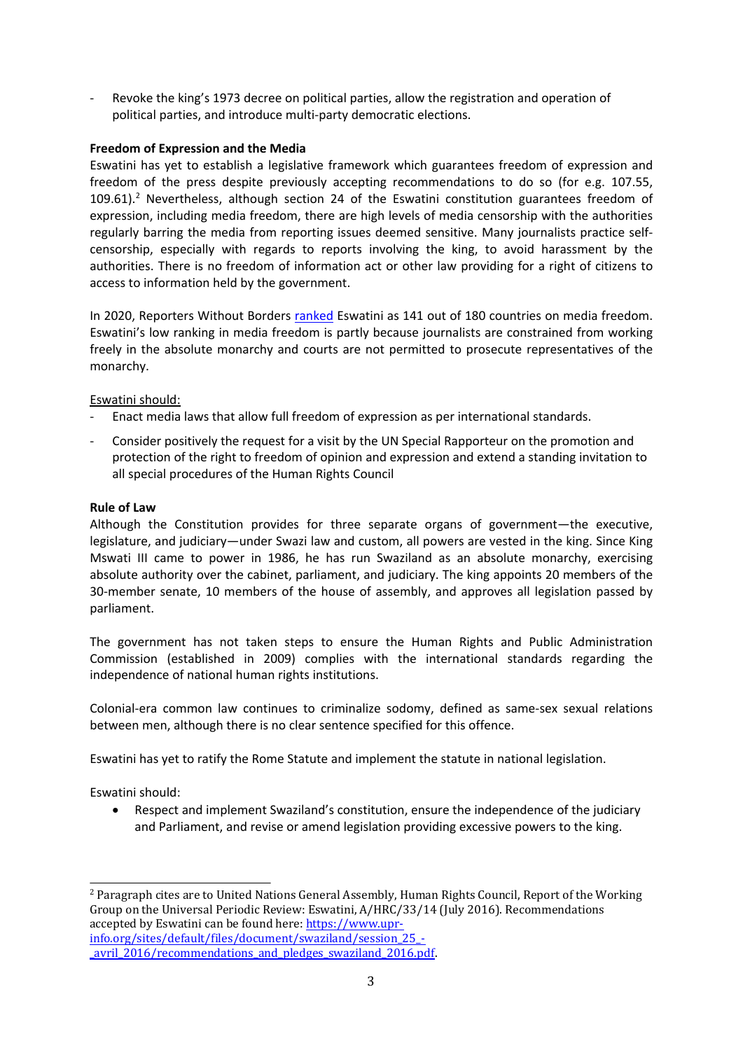- Revoke the king'<sup>s</sup> 1973 decree on political parties, allow the registration and operation of political parties, and introduce multi-party democratic elections.

# **Freedom of Expression and the Media**

Eswatini has yet to establish <sup>a</sup> legislative framework which guarantees freedom of expression and freedom of the press despite previously accepting recommendations to do so (for e.g. 107.55, 109.61).<sup>2</sup> Nevertheless, although section 24 of the Eswatini constitution guarantees freedom of expression, including media freedom, there are high levels of media censorship with the authorities regularly barring the media from reporting issues deemed sensitive. Many journalists practice selfcensorship, especially with regards to reports involving the king, to avoid harassment by the authorities. There is no freedom of information act or other law providing for <sup>a</sup> right of citizens to access to information held by the government.

In 2020, Reporters Without Borders [ranked](https://rsf.org/en/eswatini) Eswatini as 141 out of 180 countries on media freedom. Eswatini'<sup>s</sup> low ranking in media freedom is partly because journalists are constrained from working freely in the absolute monarchy and courts are not permitted to prosecute representatives of the monarchy.

# Eswatini should:

- Enact media laws that allow full freedom of expression as per international standards.
- - Consider positively the request for <sup>a</sup> visit by the UN Special Rapporteur on the promotion and protection of the right to freedom of opinion and expression and extend <sup>a</sup> standing invitation to all special procedures of the Human Rights Council

#### **Rule of Law**

Although the Constitution provides for three separate organs of government—the executive, legislature, and judiciary—under Swazi law and custom, all powers are vested in the king. Since King Mswati III came to power in 1986, he has run Swaziland as an absolute monarchy, exercising absolute authority over the cabinet, parliament, and judiciary. The king appoints 20 members of the 30-member senate, 10 members of the house of assembly, and approves all legislation passed by parliament.

The government has not taken steps to ensure the Human Rights and Public Administration Commission (established in 2009) complies with the international standards regarding the independence of national human rights institutions.

Colonial-era common law continues to criminalize sodomy, defined as same-sex sexual relations between men, although there is no clear sentence specified for this offence.

Eswatini has yet to ratify the Rome Statute and implement the statute in national legislation.

Eswatini should:

c Respect and implement Swaziland'<sup>s</sup> constitution, ensure the independence of the judiciary and Parliament, and revise or amend legislation providing excessive powers to the king.

<sup>2</sup> Paragraph cites are to United Nations General Assembly, Human Rights Council, Report of the Working Group on the Universal Periodic Review: Eswatini, A/HRC/33/14 (July 2016). Recommendations accepted by Eswatini can be found here: [https://www.upr](https://www.upr-info.org/sites/default/files/document/swaziland/session_25_-_avril_2016/recommendations_and_pledges_swaziland_2016.pdf)[info.org/sites/default/files/document/swaziland/session\\_25\\_-](https://www.upr-info.org/sites/default/files/document/swaziland/session_25_-_avril_2016/recommendations_and_pledges_swaziland_2016.pdf)

[avril\\_2016/recommendations\\_and\\_pledges\\_swaziland\\_2016.pdf](https://www.upr-info.org/sites/default/files/document/swaziland/session_25_-_avril_2016/recommendations_and_pledges_swaziland_2016.pdf)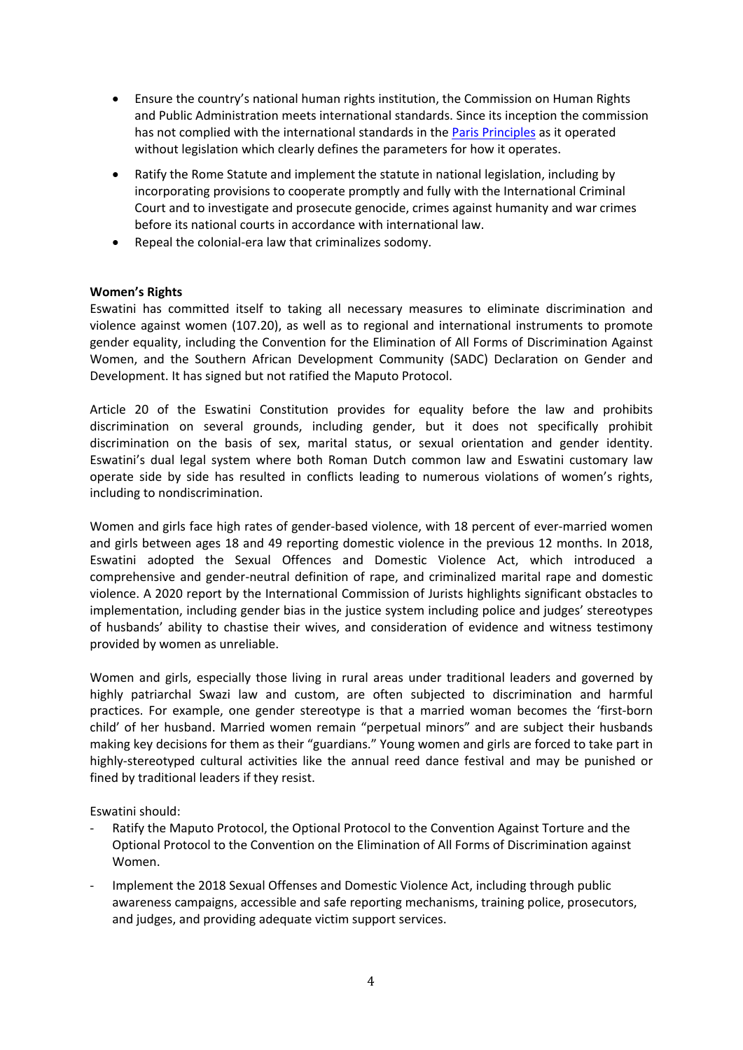- Ensure the country'<sup>s</sup> national human rights institution, the Commission on Human Rights and Public Administration meets international standards. Since its inception the commission has not complied with the international standards in the Paris [Principles](https://nhri.ohchr.org/EN/AboutUs/Pages/ParisPrinciples.aspx) as it operated without legislation which clearly defines the parameters for how it operates.
- $\bullet$  Ratify the Rome Statute and implement the statute in national legislation, including by incorporating provisions to cooperate promptly and fully with the International Criminal Court and to investigate and prosecute genocide, crimes against humanity and war crimes before its national courts in accordance with international law.
- $\bullet$ Repeal the colonial-era law that criminalizes sodomy.

# **Women'<sup>s</sup> Rights**

Eswatini has committed itself to taking all necessary measures to eliminate discrimination and violence against women (107.20), as well as to regional and international instruments to promote gender equality, including the Convention for the Elimination of All Forms of Discrimination Against Women, and the Southern African Development Community (SADC) Declaration on Gender and Development. It has signed but not ratified the Maputo Protocol.

Article 20 of the Eswatini Constitution provides for equality before the law and prohibits discrimination on several grounds, including gender, but it does not specifically prohibit discrimination on the basis of sex, marital status, or sexual orientation and gender identity. Eswatini'<sup>s</sup> dual legal system where both Roman Dutch common law and Eswatini customary law operate side by side has resulted in conflicts leading to numerous violations of women'<sup>s</sup> rights, including to nondiscrimination.

Women and girls face high rates of gender-based violence, with 18 percent of ever-married women and girls between ages 18 and 49 reporting domestic violence in the previous 12 months. In 2018, Eswatini adopted the Sexual Offences and Domestic Violence Act, which introduced <sup>a</sup> comprehensive and gender-neutral definition of rape, and criminalized marital rape and domestic violence. A 2020 report by the International Commission of Jurists highlights significant obstacles to implementation, including gender bias in the justice system including police and judges' stereotypes of husbands' ability to chastise their wives, and consideration of evidence and witness testimony provided by women as unreliable.

Women and girls, especially those living in rural areas under traditional leaders and governed by highly patriarchal Swazi law and custom, are often subjected to discrimination and harmful practices. For example, one gender stereotype is that <sup>a</sup> married woman becomes the 'first-born child' of her husband. Married women remain "perpetual minors" and are subject their husbands making key decisions for them as their "guardians." Young women and girls are forced to take part in highly-stereotyped cultural activities like the annual reed dance festival and may be punished or fined by traditional leaders if they resist.

Eswatini should:

- Ratify the Maputo Protocol, the Optional Protocol to the Convention Against Torture and the Optional Protocol to the Convention on the Elimination of All Forms of Discrimination against Women.
- - Implement the 2018 Sexual Offenses and Domestic Violence Act, including through public awareness campaigns, accessible and safe reporting mechanisms, training police, prosecutors, and judges, and providing adequate victim support services.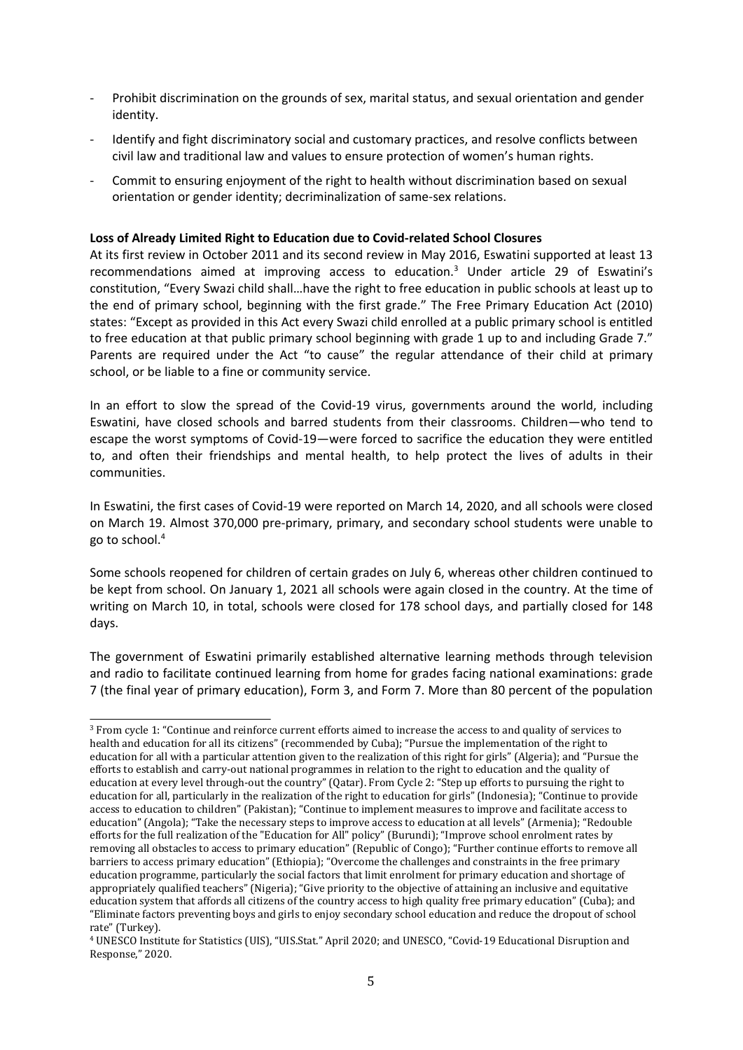- - Prohibit discrimination on the grounds of sex, marital status, and sexual orientation and gender identity.
- - Identify and fight discriminatory social and customary practices, and resolve conflicts between civil law and traditional law and values to ensure protection of women'<sup>s</sup> human rights.
- - Commit to ensuring enjoyment of the right to health without discrimination based on sexual orientation or gender identity; decriminalization of same-sex relations.

### **Loss of Already Limited Right to Education due to Covid-related School Closures**

At its first review in October 2011 and its second review in May 2016, Eswatini supported at least 13 recommendations aimed at improving access to education. 3 Under article 29 of Eswatini'<sup>s</sup> constitution, "Every Swazi child shall…have the right to free education in public schools at least up to the end of primary school, beginning with the first grade." The Free Primary Education Act (2010) states: "Except as provided in this Act every Swazi child enrolled at <sup>a</sup> public primary school is entitled to free education at that public primary school beginning with grade 1 up to and including Grade 7." Parents are required under the Act "to cause" the regular attendance of their child at primary school, or be liable to <sup>a</sup> fine or community service.

In an effort to slow the spread of the Covid-19 virus, governments around the world, including Eswatini, have closed schools and barred students from their classrooms. Children—who tend to escape the worst symptoms of Covid-19—were forced to sacrifice the education they were entitled to, and often their friendships and mental health, to help protect the lives of adults in their communities.

In Eswatini, the first cases of Covid-19 were reported on March 14, 2020, and all schools were closed on March 19. Almost 370,000 pre-primary, primary, and secondary school students were unable to go to school. 4

Some schools reopened for children of certain grades on July 6, whereas other children continued to be kept from school. On January 1, 2021 all schools were again closed in the country. At the time of writing on March 10, in total, schools were closed for 178 school days, and partially closed for 148 days.

The government of Eswatini primarily established alternative learning methods through television and radio to facilitate continued learning from home for grades facing national examinations: grade 7 (the final year of primary education), Form 3, and Form 7. More than 80 percent of the population

<sup>&</sup>lt;sup>3</sup> From cycle 1: "Continue and reinforce current efforts aimed to increase the access to and quality of services to health and education for all its citizens" (recommended by Cuba); "Pursue the implementation of the right to education for all with <sup>a</sup> particular attention given to the realization of this right for girls" (Algeria); and "Pursue the efforts to establish and carry-out national programmes in relation to the right to education and the quality of education at every level through-out the country" (Qatar). From Cycle 2: "Step up efforts to pursuing the right to education for all, particularly in the realization of the right to education for girls" (Indonesia); "Continue to provide access to education to children" (Pakistan); "Continue to implement measures to improve and facilitate access to education" (Angola); "Take the necessary steps to improve access to education at all levels" (Armenia); "Redouble efforts for the full realization of the "Education for All" policy" (Burundi); "Improve school enrolment rates by removing all obstacles to access to primary education" (Republic of Congo); "Further continue efforts to remove all barriers to access primary education" (Ethiopia); "Overcome the challenges and constraints in the free primary education programme, particularly the social factors that limit enrolment for primary education and shortage of appropriately qualified teachers" (Nigeria); "Give priority to the objective of attaining an inclusive and equitative education system that affords all citizens of the country access to high quality free primary education" (Cuba); and "Eliminate factors preventing boys and girls to enjoy secondary school education and reduce the dropout of school rate" (Turkey).

<sup>4</sup> UNESCO Institute for Statistics (UIS), "UIS.Stat." April 2020; and UNESCO, "Covid-19 Educational Disruption and Response," 2020.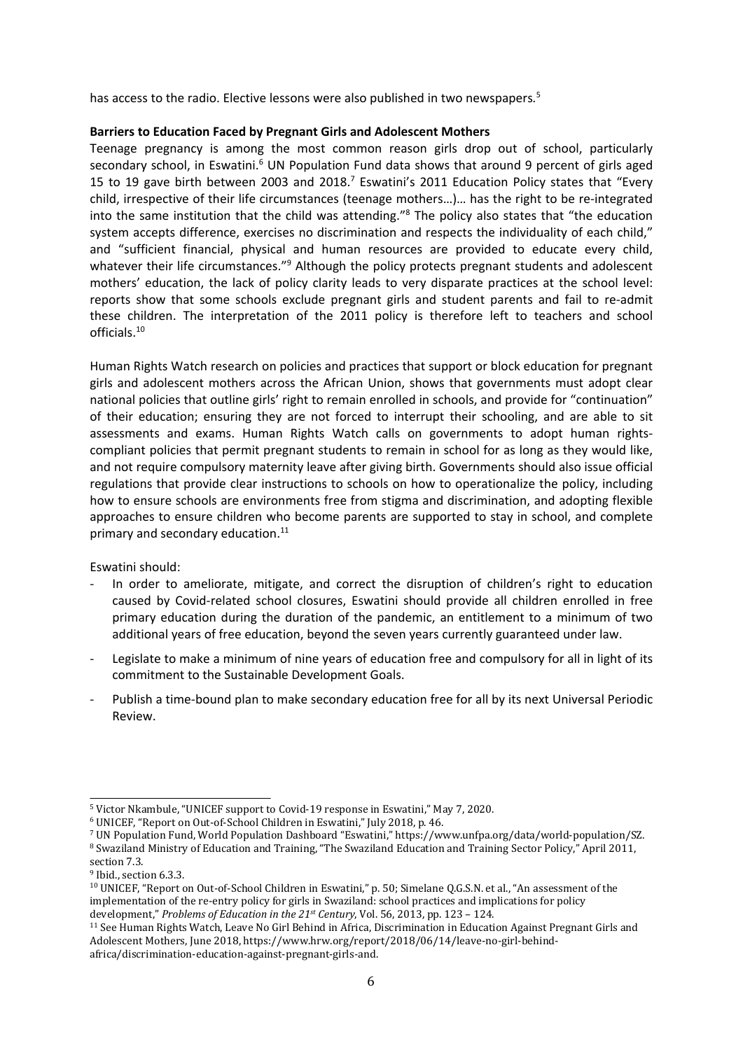has access to the radio. Elective lessons were also published in two newspapers*.* 5

### **Barriers to Education Faced by Pregnant Girls and Adolescent Mothers**

Teenage pregnancy is among the most common reason girls drop out of school, particularly secondary school, in Eswatini.<sup>6</sup> UN Population Fund data shows that around 9 percent of girls aged 15 to 19 gave birth between 2003 and 2018.<sup>7</sup> Eswatini's 2011 Education Policy states that "Every child, irrespective of their life circumstances (teenage mothers…)… has the right to be re-integrated into the same institution that the child was attending."<sup>8</sup> The policy also states that "the education system accepts difference, exercises no discrimination and respects the individuality of each child," and "sufficient financial, physical and human resources are provided to educate every child, whatever their life circumstances."<sup>9</sup> Although the policy protects pregnant students and adolescent mothers' education, the lack of policy clarity leads to very disparate practices at the school level: reports show that some schools exclude pregnant girls and student parents and fail to re-admit these children. The interpretation of the 2011 policy is therefore left to teachers and school officials.<sup>10</sup>

Human Rights Watch research on policies and practices that support or block education for pregnant girls and adolescent mothers across the African Union, shows that governments must adopt clear national policies that outline girls' right to remain enrolled in schools, and provide for "continuation" of their education; ensuring they are not forced to interrupt their schooling, and are able to sit assessments and exams. Human Rights Watch calls on governments to adopt human rightscompliant policies that permit pregnant students to remain in school for as long as they would like, and not require compulsory maternity leave after giving birth. Governments should also issue official regulations that provide clear instructions to schools on how to operationalize the policy, including how to ensure schools are environments free from stigma and discrimination, and adopting flexible approaches to ensure children who become parents are supported to stay in school, and complete primary and secondary education.<sup>11</sup>

Eswatini should:

- In order to ameliorate, mitigate, and correct the disruption of children'<sup>s</sup> right to education caused by Covid-related school closures, Eswatini should provide all children enrolled in free primary education during the duration of the pandemic, an entitlement to <sup>a</sup> minimum of two additional years of free education, beyond the seven years currently guaranteed under law.
- - Legislate to make <sup>a</sup> minimum of nine years of education free and compulsory for all in light of its commitment to the Sustainable Development Goals.
- - Publish <sup>a</sup> time-bound plan to make secondary education free for all by its next Universal Periodic Review.

<sup>5</sup> Victor Nkambule, "UNICEF support to Covid-19 response in Eswatini," May 7, 2020.

<sup>6</sup> UNICEF, "Report on Out-of-School Children in Eswatini," July 2018, p. 46.

<sup>7</sup> UN Population Fund, World Population Dashboard "Eswatini," https://www.unfpa.org/data/world-population/SZ. <sup>8</sup> Swaziland Ministry of Education and Training, "The Swaziland Education and Training Sector Policy," April 2011,

section 7.3.

<sup>&</sup>lt;sup>9</sup> Ibid., section 6.3.3.

 $^{\rm 10}$  UNICEF, "Report on Out-of-School Children in Eswatini," p. 50; Simelane Q.G.S.N. et al., "An assessment of the implementation of the re-entry policy for girls in Swaziland: school practices and implications for policy development," *Problems of Education in the 21st Century*, Vol. 56, 2013, pp. 123 – 124.

<sup>&</sup>lt;sup>11</sup> See Human Rights Watch, Leave No Girl Behind in Africa, Discrimination in Education Against Pregnant Girls and Adolescent Mothers, June 2018, https://www.hrw.org/report/2018/06/14/leave-no-girl-behindafrica/discrimination-education-against-pregnant-girls-and.